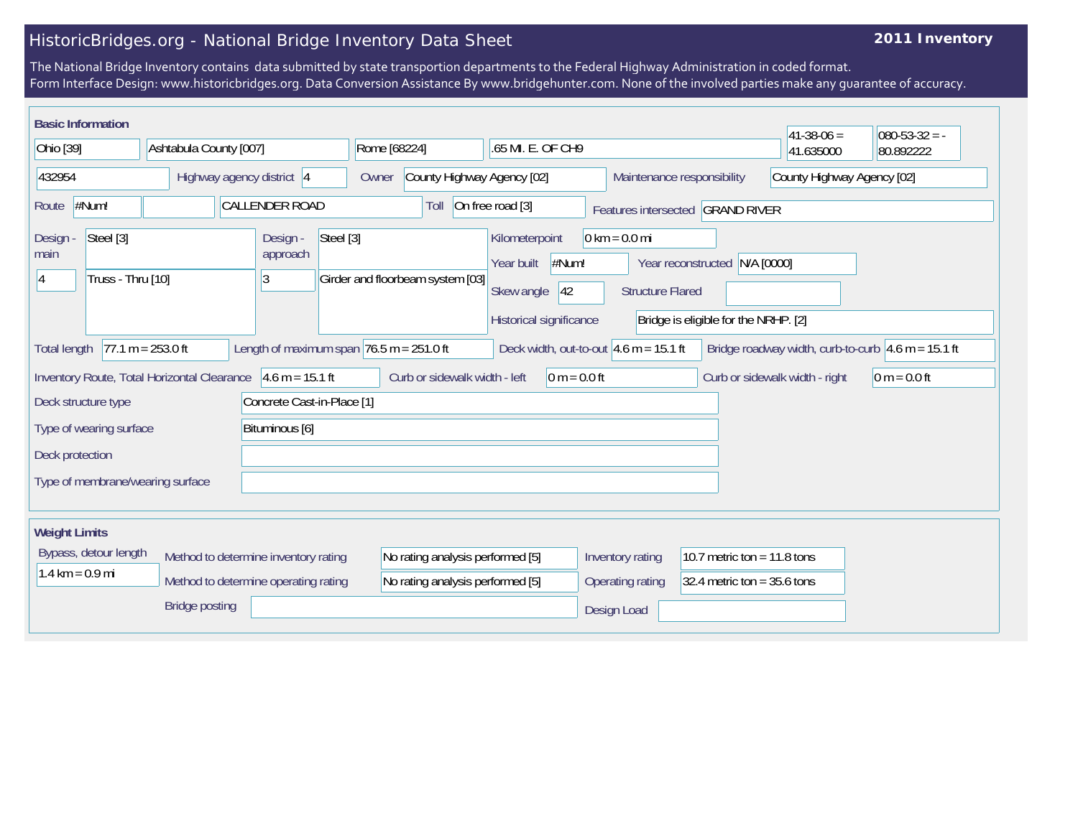## HistoricBridges.org - National Bridge Inventory Data Sheet

## **2011 Inventory**

The National Bridge Inventory contains data submitted by state transportion departments to the Federal Highway Administration in coded format. Form Interface Design: www.historicbridges.org. Data Conversion Assistance By www.bridgehunter.com. None of the involved parties make any guarantee of accuracy.

| <b>Basic Information</b>                                    |                                                                                                                                                                                        |                                                                              |                                                                      |                                                                                       |                                                            |                                                                       | $ 41-38-06 $                   | $080 - 53 - 32 = -$ |
|-------------------------------------------------------------|----------------------------------------------------------------------------------------------------------------------------------------------------------------------------------------|------------------------------------------------------------------------------|----------------------------------------------------------------------|---------------------------------------------------------------------------------------|------------------------------------------------------------|-----------------------------------------------------------------------|--------------------------------|---------------------|
| Ohio [39]<br>Ashtabula County [007]                         |                                                                                                                                                                                        | Rome [68224]<br>.65 MI. E. OF CH9                                            |                                                                      |                                                                                       |                                                            | 41.635000                                                             | 80.892222                      |                     |
| 432954                                                      | Highway agency district 4                                                                                                                                                              |                                                                              | County Highway Agency [02]<br>Owner                                  |                                                                                       | Maintenance responsibility                                 |                                                                       | County Highway Agency [02]     |                     |
| #Num!<br>Route                                              |                                                                                                                                                                                        | <b>CALLENDER ROAD</b>                                                        | Toll                                                                 | On free road [3]                                                                      |                                                            | Features intersected GRAND RIVER                                      |                                |                     |
| Steel [3]<br>Design<br>main<br>Truss - Thru [10]            |                                                                                                                                                                                        | Design -<br>Steel [3]<br>approach<br>3                                       | Girder and floorbeam system [03]                                     | Kilometerpoint<br>#Num!<br>Year built<br>Skew angle<br> 42<br>Historical significance | $0 \text{ km} = 0.0 \text{ mi}$<br><b>Structure Flared</b> | Year reconstructed N/A [0000]<br>Bridge is eligible for the NRHP. [2] |                                |                     |
| <b>Total length</b>                                         | $77.1 m = 253.0 ft$<br>Length of maximum span $76.5$ m = 251.0 ft<br>Deck width, out-to-out $4.6$ m = 15.1 ft<br>Bridge roadway width, curb-to-curb $ 4.6 \text{ m} = 15.1 \text{ ft}$ |                                                                              |                                                                      |                                                                                       |                                                            |                                                                       |                                |                     |
| Inventory Route, Total Horizontal Clearance 4.6 m = 15.1 ft |                                                                                                                                                                                        |                                                                              | Curb or sidewalk width - left                                        | $0 m = 0.0 ft$                                                                        |                                                            |                                                                       | Curb or sidewalk width - right | $ 0 m = 0.0 ft$     |
| Deck structure type                                         |                                                                                                                                                                                        | Concrete Cast-in-Place [1]                                                   |                                                                      |                                                                                       |                                                            |                                                                       |                                |                     |
| Type of wearing surface                                     |                                                                                                                                                                                        | Bituminous [6]                                                               |                                                                      |                                                                                       |                                                            |                                                                       |                                |                     |
| Deck protection                                             |                                                                                                                                                                                        |                                                                              |                                                                      |                                                                                       |                                                            |                                                                       |                                |                     |
| Type of membrane/wearing surface                            |                                                                                                                                                                                        |                                                                              |                                                                      |                                                                                       |                                                            |                                                                       |                                |                     |
| <b>Weight Limits</b>                                        |                                                                                                                                                                                        |                                                                              |                                                                      |                                                                                       |                                                            |                                                                       |                                |                     |
| Bypass, detour length<br>$1.4 \text{ km} = 0.9 \text{ mi}$  |                                                                                                                                                                                        | Method to determine inventory rating<br>Method to determine operating rating | No rating analysis performed [5]<br>No rating analysis performed [5] |                                                                                       | Inventory rating<br>Operating rating                       | 10.7 metric ton = $11.8$ tons<br>32.4 metric ton = $35.6$ tons        |                                |                     |
|                                                             | <b>Bridge posting</b>                                                                                                                                                                  |                                                                              |                                                                      |                                                                                       | Design Load                                                |                                                                       |                                |                     |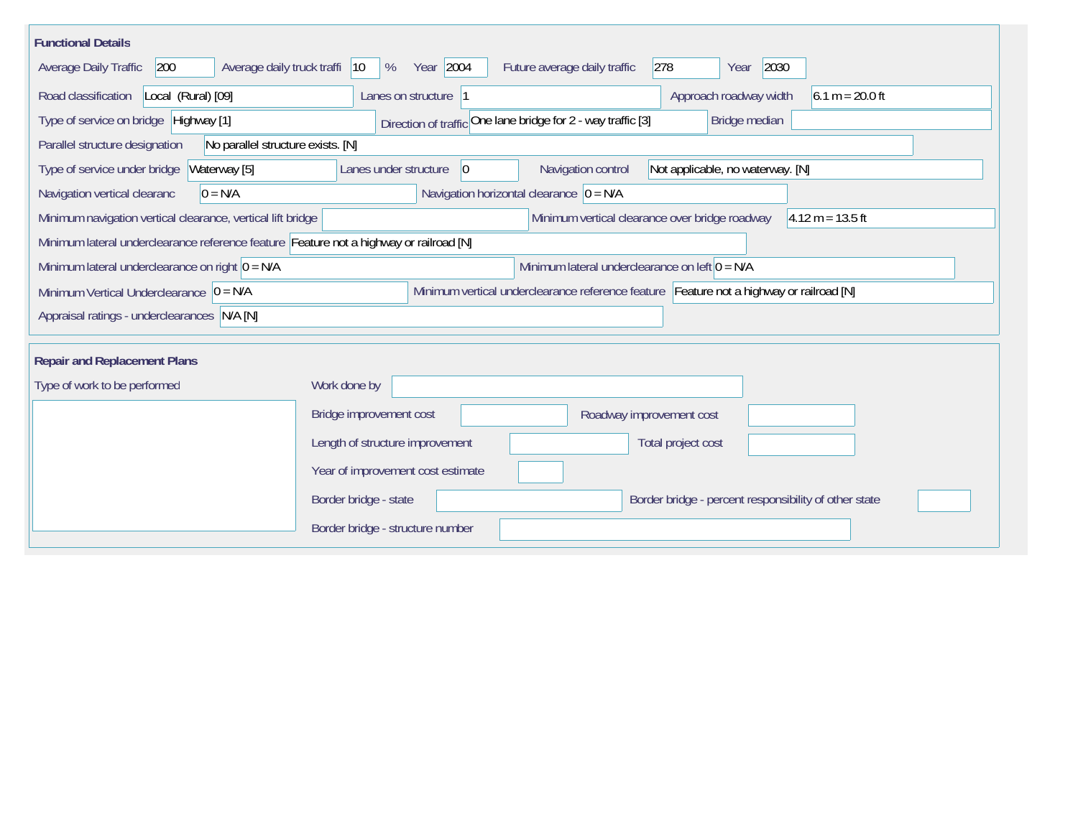| <b>Functional Details</b>                                                                                                             |                                                                                                |  |  |  |  |  |
|---------------------------------------------------------------------------------------------------------------------------------------|------------------------------------------------------------------------------------------------|--|--|--|--|--|
| Average daily truck traffi<br>Average Daily Traffic<br>200                                                                            | Year 2004<br>278<br>2030<br>Future average daily traffic<br>$ 10\rangle$<br>%<br>Year          |  |  |  |  |  |
| Road classification<br>Local (Rural) [09]                                                                                             | Approach roadway width<br>$6.1 m = 20.0 ft$<br>Lanes on structure  1                           |  |  |  |  |  |
| Direction of traffic One lane bridge for 2 - way traffic [3]<br>Type of service on bridge Highway [1]<br>Bridge median                |                                                                                                |  |  |  |  |  |
| Parallel structure designation<br>No parallel structure exists. [N]                                                                   |                                                                                                |  |  |  |  |  |
| Waterway [5]<br>Type of service under bridge                                                                                          | Navigation control<br>Lanes under structure<br>$ 0\rangle$<br>Not applicable, no waterway. [N] |  |  |  |  |  |
| Navigation vertical clearanc<br>$0 = N/A$                                                                                             | Navigation horizontal clearance $ 0 = N/A $                                                    |  |  |  |  |  |
| Minimum navigation vertical clearance, vertical lift bridge                                                                           | Minimum vertical clearance over bridge roadway<br>$4.12 m = 13.5 ft$                           |  |  |  |  |  |
| Minimum lateral underclearance reference feature Feature not a highway or railroad [N]                                                |                                                                                                |  |  |  |  |  |
| Minimum lateral underclearance on right $0 = N/A$                                                                                     | Minimum lateral underclearance on left $0 = N/A$                                               |  |  |  |  |  |
| Minimum vertical underclearance reference feature Feature not a highway or railroad [N]<br>Minimum Vertical Underclearance $ 0 = N/A$ |                                                                                                |  |  |  |  |  |
| Appraisal ratings - underclearances N/A [N]                                                                                           |                                                                                                |  |  |  |  |  |
|                                                                                                                                       |                                                                                                |  |  |  |  |  |
| <b>Repair and Replacement Plans</b>                                                                                                   |                                                                                                |  |  |  |  |  |
| Type of work to be performed                                                                                                          | Work done by                                                                                   |  |  |  |  |  |
|                                                                                                                                       | Bridge improvement cost<br>Roadway improvement cost                                            |  |  |  |  |  |
|                                                                                                                                       | Length of structure improvement<br>Total project cost                                          |  |  |  |  |  |
|                                                                                                                                       | Year of improvement cost estimate                                                              |  |  |  |  |  |
|                                                                                                                                       | Border bridge - state<br>Border bridge - percent responsibility of other state                 |  |  |  |  |  |
|                                                                                                                                       | Border bridge - structure number                                                               |  |  |  |  |  |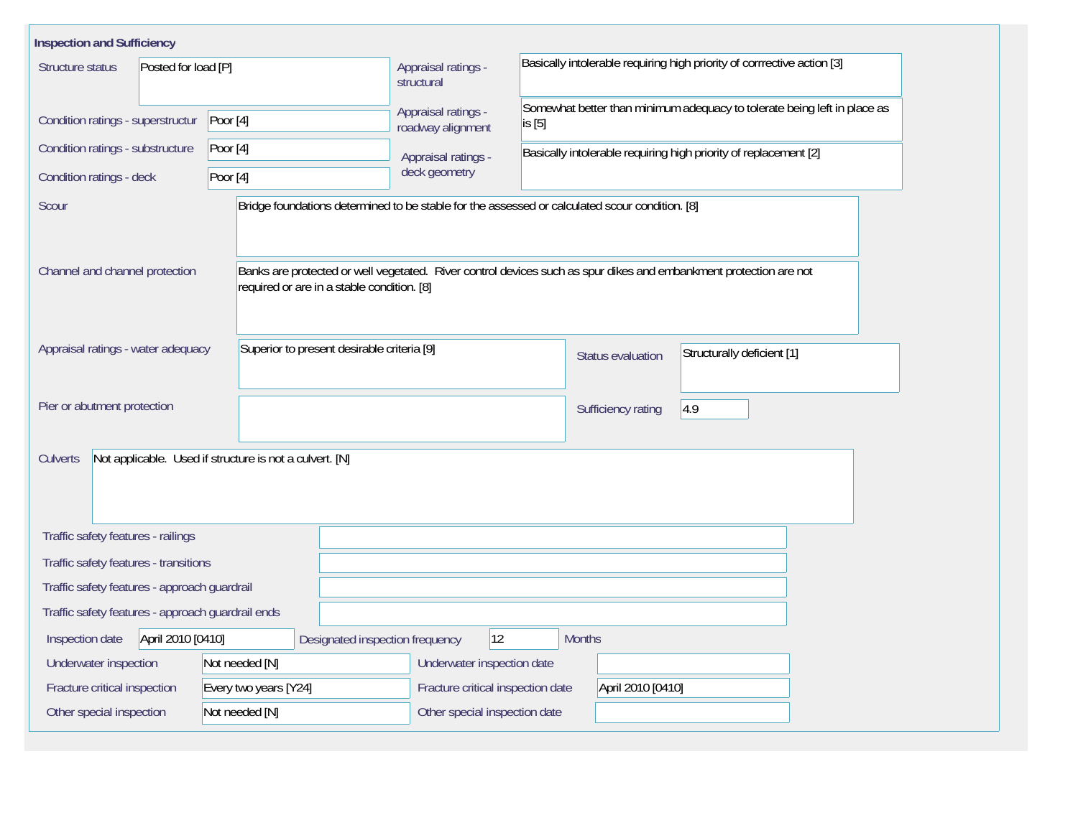| <b>Inspection and Sufficiency</b>                                                |                                                                                                                                                                 |                                                                         |                                                                                    |                                                                  |                            |  |  |  |  |
|----------------------------------------------------------------------------------|-----------------------------------------------------------------------------------------------------------------------------------------------------------------|-------------------------------------------------------------------------|------------------------------------------------------------------------------------|------------------------------------------------------------------|----------------------------|--|--|--|--|
| Structure status<br>Posted for load [P]                                          | Appraisal ratings -<br>structural                                                                                                                               | Basically intolerable requiring high priority of corrrective action [3] |                                                                                    |                                                                  |                            |  |  |  |  |
| Condition ratings - superstructur                                                | Poor $[4]$                                                                                                                                                      | Appraisal ratings -<br>roadway alignment                                | Somewhat better than minimum adequacy to tolerate being left in place as<br>is [5] |                                                                  |                            |  |  |  |  |
| Condition ratings - substructure                                                 | Poor $[4]$                                                                                                                                                      | Appraisal ratings -                                                     |                                                                                    | Basically intolerable requiring high priority of replacement [2] |                            |  |  |  |  |
| Condition ratings - deck                                                         | Poor [4]                                                                                                                                                        | deck geometry                                                           |                                                                                    |                                                                  |                            |  |  |  |  |
| Scour                                                                            | Bridge foundations determined to be stable for the assessed or calculated scour condition. [8]                                                                  |                                                                         |                                                                                    |                                                                  |                            |  |  |  |  |
| Channel and channel protection                                                   | Banks are protected or well vegetated. River control devices such as spur dikes and embankment protection are not<br>required or are in a stable condition. [8] |                                                                         |                                                                                    |                                                                  |                            |  |  |  |  |
| Appraisal ratings - water adequacy<br>Superior to present desirable criteria [9] |                                                                                                                                                                 |                                                                         | Status evaluation                                                                  |                                                                  | Structurally deficient [1] |  |  |  |  |
| Pier or abutment protection                                                      |                                                                                                                                                                 |                                                                         |                                                                                    | Sufficiency rating                                               | 4.9                        |  |  |  |  |
| <b>Culverts</b>                                                                  | Not applicable. Used if structure is not a culvert. [N]                                                                                                         |                                                                         |                                                                                    |                                                                  |                            |  |  |  |  |
| Traffic safety features - railings                                               |                                                                                                                                                                 |                                                                         |                                                                                    |                                                                  |                            |  |  |  |  |
| Traffic safety features - transitions                                            |                                                                                                                                                                 |                                                                         |                                                                                    |                                                                  |                            |  |  |  |  |
| Traffic safety features - approach guardrail                                     |                                                                                                                                                                 |                                                                         |                                                                                    |                                                                  |                            |  |  |  |  |
| Traffic safety features - approach guardrail ends                                |                                                                                                                                                                 |                                                                         |                                                                                    |                                                                  |                            |  |  |  |  |
| April 2010 [0410]<br>Inspection date                                             | Designated inspection frequency                                                                                                                                 | $ 12\rangle$                                                            | <b>Months</b>                                                                      |                                                                  |                            |  |  |  |  |
| Underwater inspection                                                            | Not needed [N]                                                                                                                                                  | Underwater inspection date                                              |                                                                                    |                                                                  |                            |  |  |  |  |
| Every two years [Y24]<br>Fracture critical inspection                            | Fracture critical inspection date                                                                                                                               | April 2010 [0410]                                                       |                                                                                    |                                                                  |                            |  |  |  |  |
| Other special inspection                                                         | Not needed [N]                                                                                                                                                  | Other special inspection date                                           |                                                                                    |                                                                  |                            |  |  |  |  |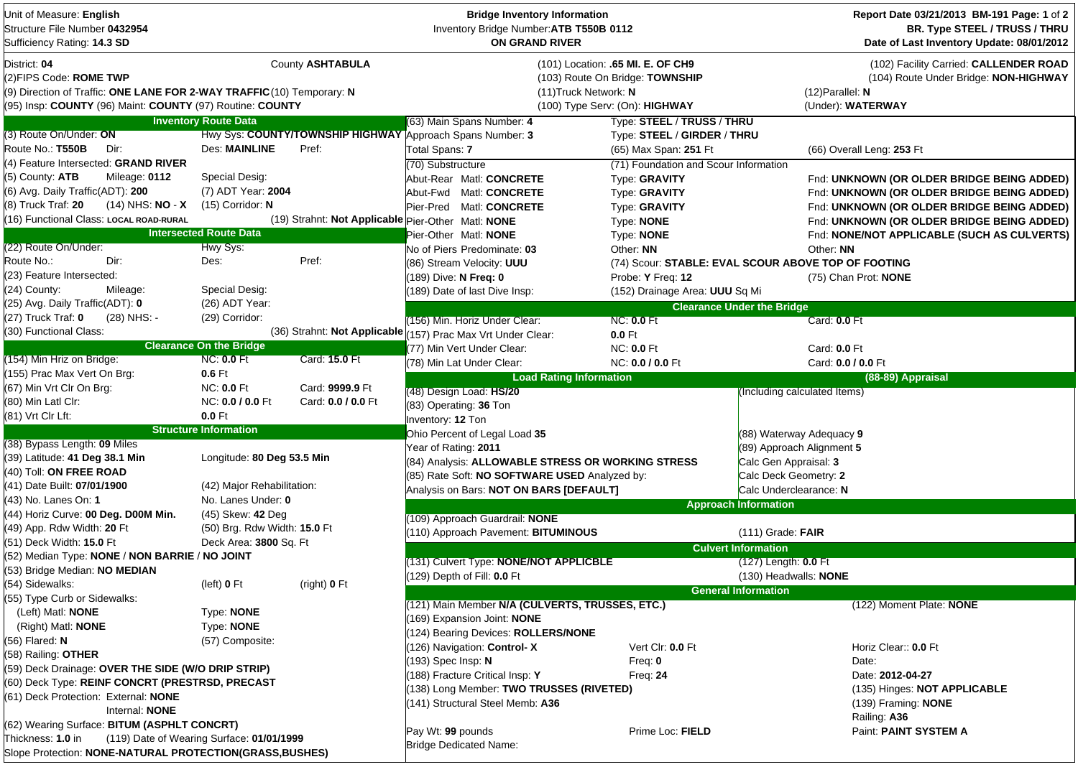| Unit of Measure: English<br>Structure File Number 0432954<br>Sufficiency Rating: 14.3 SD                                                                                      |                                                  |                              | <b>Bridge Inventory Information</b><br>Inventory Bridge Number: ATB T550B 0112<br><b>ON GRAND RIVER</b> |                                                                                                        |                                   | Report Date 03/21/2013 BM-191 Page: 1 of 2<br>BR. Type STEEL / TRUSS / THRU<br>Date of Last Inventory Update: 08/01/2012   |  |  |
|-------------------------------------------------------------------------------------------------------------------------------------------------------------------------------|--------------------------------------------------|------------------------------|---------------------------------------------------------------------------------------------------------|--------------------------------------------------------------------------------------------------------|-----------------------------------|----------------------------------------------------------------------------------------------------------------------------|--|--|
| District: 04<br>(2)FIPS Code: ROME TWP<br>(9) Direction of Traffic: ONE LANE FOR 2-WAY TRAFFIC (10) Temporary: N<br>(95) Insp: COUNTY (96) Maint: COUNTY (97) Routine: COUNTY |                                                  | County ASHTABULA             | (11) Truck Network: N                                                                                   | (101) Location: .65 MI. E. OF CH9<br>(103) Route On Bridge: TOWNSHIP<br>(100) Type Serv: (On): HIGHWAY |                                   | (102) Facility Carried: CALLENDER ROAD<br>(104) Route Under Bridge: NON-HIGHWAY<br>$(12)$ Parallel: N<br>(Under): WATERWAY |  |  |
|                                                                                                                                                                               | <b>Inventory Route Data</b>                      |                              | (63) Main Spans Number: 4                                                                               | Type: STEEL / TRUSS / THRU                                                                             |                                   |                                                                                                                            |  |  |
| (3) Route On/Under: ON                                                                                                                                                        |                                                  |                              | Hwy Sys: COUNTY/TOWNSHIP HIGHWAY Approach Spans Number: 3                                               | Type: STEEL / GIRDER / THRU                                                                            |                                   |                                                                                                                            |  |  |
| Route No.: T550B<br>Dir:                                                                                                                                                      | <b>Des: MAINLINE</b>                             | Pref:                        | Total Spans: 7                                                                                          | (65) Max Span: 251 Ft                                                                                  |                                   | (66) Overall Leng: 253 Ft                                                                                                  |  |  |
| (4) Feature Intersected: GRAND RIVER                                                                                                                                          |                                                  |                              | (70) Substructure                                                                                       | (71) Foundation and Scour Information                                                                  |                                   |                                                                                                                            |  |  |
| (5) County: ATB<br>Mileage: 0112                                                                                                                                              | Special Desig:                                   |                              | Abut-Rear Matl: CONCRETE                                                                                | Type: GRAVITY                                                                                          |                                   | Fnd: UNKNOWN (OR OLDER BRIDGE BEING ADDED)                                                                                 |  |  |
| (6) Avg. Daily Traffic(ADT): 200                                                                                                                                              | (7) ADT Year: 2004                               |                              | Abut-Fwd Matl: CONCRETE                                                                                 | Type: GRAVITY                                                                                          |                                   | Fnd: UNKNOWN (OR OLDER BRIDGE BEING ADDED)                                                                                 |  |  |
| (8) Truck Traf: 20<br>$(14)$ NHS: NO - X                                                                                                                                      | $(15)$ Corridor: N                               |                              | Pier-Pred Matl: CONCRETE                                                                                | Type: GRAVITY                                                                                          |                                   | Fnd: UNKNOWN (OR OLDER BRIDGE BEING ADDED)                                                                                 |  |  |
| (16) Functional Class: LOCAL ROAD-RURAL                                                                                                                                       |                                                  |                              | (19) Strahnt: Not Applicable Pier-Other Matl: NONE                                                      | Type: NONE                                                                                             |                                   | Fnd: UNKNOWN (OR OLDER BRIDGE BEING ADDED)                                                                                 |  |  |
|                                                                                                                                                                               | <b>Intersected Route Data</b>                    |                              | Pier-Other Matl: NONE                                                                                   | Type: NONE                                                                                             |                                   | Fnd: NONE/NOT APPLICABLE (SUCH AS CULVERTS)                                                                                |  |  |
| (22) Route On/Under:                                                                                                                                                          | Hwy Sys:                                         |                              | No of Piers Predominate: 03                                                                             | Other: NN                                                                                              |                                   | Other: NN                                                                                                                  |  |  |
| Route No.:<br>Dir:                                                                                                                                                            | Des:                                             | Pref:                        | (86) Stream Velocity: UUU                                                                               | (74) Scour: STABLE: EVAL SCOUR ABOVE TOP OF FOOTING                                                    |                                   |                                                                                                                            |  |  |
| (23) Feature Intersected:                                                                                                                                                     |                                                  |                              | (189) Dive: N Freq: 0                                                                                   | Probe: Y Freq: 12                                                                                      |                                   | (75) Chan Prot: NONE                                                                                                       |  |  |
| (24) County:<br>Mileage:                                                                                                                                                      | Special Desig:                                   |                              | (189) Date of last Dive Insp:                                                                           | (152) Drainage Area: UUU Sq Mi                                                                         |                                   |                                                                                                                            |  |  |
| (25) Avg. Daily Traffic(ADT): 0                                                                                                                                               | (26) ADT Year:                                   |                              |                                                                                                         |                                                                                                        | <b>Clearance Under the Bridge</b> |                                                                                                                            |  |  |
| (27) Truck Traf: 0<br>(28) NHS: -                                                                                                                                             | (29) Corridor:                                   |                              | (156) Min. Horiz Under Clear:                                                                           | <b>NC: 0.0 Ft</b>                                                                                      |                                   | Card: 0.0 Ft                                                                                                               |  |  |
| (30) Functional Class:                                                                                                                                                        |                                                  | (36) Strahnt: Not Applicable | 157) Prac Max Vrt Under Clear:                                                                          | $0.0$ Ft                                                                                               |                                   |                                                                                                                            |  |  |
|                                                                                                                                                                               | <b>Clearance On the Bridge</b>                   |                              | (77) Min Vert Under Clear:                                                                              | <b>NC: 0.0 Ft</b>                                                                                      |                                   | Card: 0.0 Ft                                                                                                               |  |  |
| (154) Min Hriz on Bridge:                                                                                                                                                     | <b>NC: 0.0 Ft</b>                                | Card: 15.0 Ft                | (78) Min Lat Under Clear:                                                                               | NC: 0.0 / 0.0 Ft                                                                                       |                                   | Card: 0.0 / 0.0 Ft                                                                                                         |  |  |
| (155) Prac Max Vert On Brg:                                                                                                                                                   | $0.6$ Ft                                         |                              | <b>Load Rating Information</b>                                                                          |                                                                                                        |                                   | (88-89) Appraisal                                                                                                          |  |  |
| (67) Min Vrt Clr On Brg:                                                                                                                                                      | <b>NC: 0.0 Ft</b>                                | Card: 9999.9 Ft              | (48) Design Load: HS/20                                                                                 |                                                                                                        | Including calculated Items)       |                                                                                                                            |  |  |
| (80) Min Latl Clr:                                                                                                                                                            | NC: 0.0 / 0.0 Ft                                 | Card: 0.0 / 0.0 Ft           | (83) Operating: 36 Ton                                                                                  |                                                                                                        |                                   |                                                                                                                            |  |  |
| (81) Vrt Clr Lft:                                                                                                                                                             | 0.0 Ft                                           |                              | Inventory: 12 Ton                                                                                       |                                                                                                        |                                   |                                                                                                                            |  |  |
|                                                                                                                                                                               | <b>Structure Information</b>                     |                              | Ohio Percent of Legal Load 35                                                                           |                                                                                                        | (88) Waterway Adequacy 9          |                                                                                                                            |  |  |
| (38) Bypass Length: 09 Miles                                                                                                                                                  |                                                  |                              | Year of Rating: 2011                                                                                    |                                                                                                        | (89) Approach Alignment 5         |                                                                                                                            |  |  |
| (39) Latitude: 41 Deg 38.1 Min                                                                                                                                                | Longitude: 80 Deg 53.5 Min                       |                              | (84) Analysis: ALLOWABLE STRESS OR WORKING STRESS                                                       |                                                                                                        | Calc Gen Appraisal: 3             |                                                                                                                            |  |  |
| (40) Toll: ON FREE ROAD                                                                                                                                                       |                                                  |                              | (85) Rate Soft: NO SOFTWARE USED Analyzed by:                                                           |                                                                                                        | Calc Deck Geometry: 2             |                                                                                                                            |  |  |
| (41) Date Built: 07/01/1900                                                                                                                                                   | (42) Major Rehabilitation:<br>No. Lanes Under: 0 |                              | Analysis on Bars: NOT ON BARS [DEFAULT]                                                                 |                                                                                                        | Calc Underclearance: N            |                                                                                                                            |  |  |
| (43)  No. Lanes On: <b>1</b><br>(44) Horiz Curve: 00 Deg. D00M Min.                                                                                                           | (45) Skew: 42 Deg                                |                              |                                                                                                         |                                                                                                        | <b>Approach Information</b>       |                                                                                                                            |  |  |
| (49) App. Rdw Width: 20 Ft                                                                                                                                                    | (50) Brg. Rdw Width: 15.0 Ft                     |                              | (109) Approach Guardrail: NONE                                                                          |                                                                                                        |                                   |                                                                                                                            |  |  |
| (51) Deck Width: 15.0 Ft                                                                                                                                                      | Deck Area: 3800 Sq. Ft                           |                              | (110) Approach Pavement: BITUMINOUS                                                                     |                                                                                                        | $(111)$ Grade: FAIR               |                                                                                                                            |  |  |
| (52) Median Type: NONE / NON BARRIE / NO JOINT                                                                                                                                |                                                  |                              |                                                                                                         |                                                                                                        | <b>Culvert Information</b>        |                                                                                                                            |  |  |
| (53) Bridge Median: NO MEDIAN                                                                                                                                                 |                                                  |                              | (131) Culvert Type: NONE/NOT APPLICBLE                                                                  |                                                                                                        | $(127)$ Length: <b>0.0</b> Ft     |                                                                                                                            |  |  |
| (54) Sidewalks:                                                                                                                                                               | (left) 0 Ft                                      | (right) 0 Ft                 | (129) Depth of Fill: 0.0 Ft                                                                             |                                                                                                        | (130) Headwalls: NONE             |                                                                                                                            |  |  |
| (55) Type Curb or Sidewalks:                                                                                                                                                  |                                                  |                              |                                                                                                         |                                                                                                        | <b>General Information</b>        |                                                                                                                            |  |  |
| (Left) Matl: <b>NONE</b>                                                                                                                                                      | Type: NONE                                       |                              | (121) Main Member N/A (CULVERTS, TRUSSES, ETC.)                                                         |                                                                                                        |                                   | (122) Moment Plate: NONE                                                                                                   |  |  |
| (Right) Matl: <b>NONE</b>                                                                                                                                                     | Type: NONE                                       |                              | (169) Expansion Joint: NONE                                                                             |                                                                                                        |                                   |                                                                                                                            |  |  |
| (56) Flared: N                                                                                                                                                                | (57) Composite:                                  |                              | (124) Bearing Devices: ROLLERS/NONE                                                                     |                                                                                                        |                                   |                                                                                                                            |  |  |
| (58) Railing: OTHER                                                                                                                                                           |                                                  |                              | (126) Navigation: Control-X                                                                             | Vert Clr: 0.0 Ft                                                                                       |                                   | Horiz Clear:: 0.0 Ft                                                                                                       |  |  |
| (59) Deck Drainage: OVER THE SIDE (W/O DRIP STRIP)                                                                                                                            |                                                  |                              | (193) Spec Insp: N                                                                                      | Freq: $0$                                                                                              |                                   | Date:                                                                                                                      |  |  |
| (60) Deck Type: REINF CONCRT (PRESTRSD, PRECAST                                                                                                                               |                                                  |                              | 188) Fracture Critical Insp: Y                                                                          | Freq: $24$                                                                                             |                                   | Date: 2012-04-27                                                                                                           |  |  |
| (61) Deck Protection: External: NONE                                                                                                                                          |                                                  |                              | (138) Long Member: TWO TRUSSES (RIVETED)                                                                |                                                                                                        |                                   | (135) Hinges: NOT APPLICABLE                                                                                               |  |  |
| Internal: NONE                                                                                                                                                                |                                                  |                              | (141) Structural Steel Memb: A36                                                                        |                                                                                                        |                                   | (139) Framing: <b>NONE</b>                                                                                                 |  |  |
| (62) Wearing Surface: BITUM (ASPHLT CONCRT)                                                                                                                                   |                                                  |                              |                                                                                                         |                                                                                                        |                                   | Railing: A36                                                                                                               |  |  |
| Thickness: <b>1.0</b> in                                                                                                                                                      | (119) Date of Wearing Surface: 01/01/1999        |                              | Pay Wt: 99 pounds                                                                                       | Prime Loc: FIELD                                                                                       |                                   | Paint: PAINT SYSTEM A                                                                                                      |  |  |
| Slope Protection: NONE-NATURAL PROTECTION(GRASS, BUSHES)                                                                                                                      |                                                  |                              | <b>Bridge Dedicated Name:</b>                                                                           |                                                                                                        |                                   |                                                                                                                            |  |  |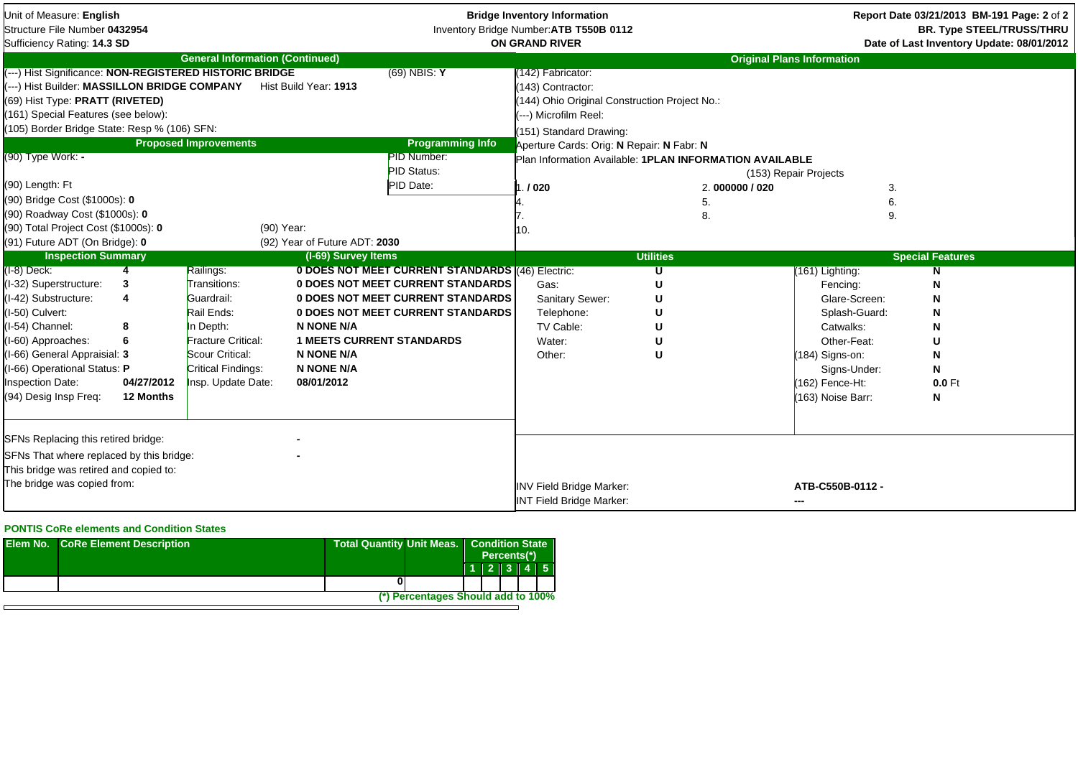| Unit of Measure: English<br>Structure File Number 0432954<br>Sufficiency Rating: 14.3 SD                                                                                                                                                                                                                                                    |                                             |                                                                                                                                            |                                                                                                        |                                                                                                                           | <b>Bridge Inventory Information</b><br>Inventory Bridge Number: ATB T550B 0112<br><b>ON GRAND RIVER</b>                                                                                                                                                    |                          |                                                                                                                                                       | Report Date 03/21/2013 BM-191 Page: 2 of 2<br><b>BR. Type STEEL/TRUSS/THRU</b><br>Date of Last Inventory Update: 08/01/2012 |  |
|---------------------------------------------------------------------------------------------------------------------------------------------------------------------------------------------------------------------------------------------------------------------------------------------------------------------------------------------|---------------------------------------------|--------------------------------------------------------------------------------------------------------------------------------------------|--------------------------------------------------------------------------------------------------------|---------------------------------------------------------------------------------------------------------------------------|------------------------------------------------------------------------------------------------------------------------------------------------------------------------------------------------------------------------------------------------------------|--------------------------|-------------------------------------------------------------------------------------------------------------------------------------------------------|-----------------------------------------------------------------------------------------------------------------------------|--|
|                                                                                                                                                                                                                                                                                                                                             |                                             | <b>General Information (Continued)</b>                                                                                                     |                                                                                                        |                                                                                                                           |                                                                                                                                                                                                                                                            |                          | <b>Original Plans Information</b>                                                                                                                     |                                                                                                                             |  |
| (---) Hist Significance: NON-REGISTERED HISTORIC BRIDGE<br>---) Hist Builder: MASSILLON BRIDGE COMPANY<br>(69) Hist Type: PRATT (RIVETED)<br>(161) Special Features (see below):<br>(105) Border Bridge State: Resp % (106) SFN:<br>(90) Type Work: -<br>(90) Length: Ft<br>(90) Bridge Cost (\$1000s): 0<br>(90) Roadway Cost (\$1000s): 0 |                                             | <b>Proposed Improvements</b>                                                                                                               | Hist Build Year: 1913                                                                                  | $(69)$ NBIS: Y<br><b>Programming Info</b><br><b>PID Number:</b><br><b>PID Status:</b><br>PID Date:                        | 142) Fabricator:<br>(143) Contractor:<br>(144) Ohio Original Construction Project No.:<br>---) Microfilm Reel:<br>(151) Standard Drawing:<br>Aperture Cards: Orig: N Repair: N Fabr: N<br>Plan Information Available: 1PLAN INFORMATION AVAILABLE<br>.1020 | 2.000000/020<br>5.<br>8. | (153) Repair Projects                                                                                                                                 | 3.<br>6.<br>9.                                                                                                              |  |
| (90) Total Project Cost (\$1000s): 0<br>(91) Future ADT (On Bridge): 0                                                                                                                                                                                                                                                                      |                                             | (90) Year:                                                                                                                                 | (92) Year of Future ADT: 2030                                                                          |                                                                                                                           |                                                                                                                                                                                                                                                            |                          |                                                                                                                                                       |                                                                                                                             |  |
| <b>Inspection Summary</b>                                                                                                                                                                                                                                                                                                                   |                                             |                                                                                                                                            | (I-69) Survey Items                                                                                    |                                                                                                                           |                                                                                                                                                                                                                                                            | <b>Utilities</b>         |                                                                                                                                                       | <b>Special Features</b>                                                                                                     |  |
| $(I-8)$ Deck:                                                                                                                                                                                                                                                                                                                               |                                             | Railings:                                                                                                                                  |                                                                                                        | 0 DOES NOT MEET CURRENT STANDARDS (46) Electric:                                                                          |                                                                                                                                                                                                                                                            | U                        | (161) Lighting:                                                                                                                                       | N                                                                                                                           |  |
| (I-32) Superstructure:<br>(I-42) Substructure:<br>(I-50) Culvert:<br>(I-54) Channel:<br>(I-60) Approaches:<br>(I-66) General Appraisial: 3<br>(I-66) Operational Status: P<br><b>Inspection Date:</b><br>(94) Desig Insp Freq:                                                                                                              | 3<br>4<br>8<br>6<br>04/27/2012<br>12 Months | Transitions:<br>Guardrail:<br>Rail Ends:<br>In Depth:<br>Fracture Critical:<br>Scour Critical:<br>Critical Findings:<br>Insp. Update Date: | <b>N NONE N/A</b><br><b>1 MEETS CURRENT STANDARDS</b><br>N NONE N/A<br><b>N NONE N/A</b><br>08/01/2012 | 0 DOES NOT MEET CURRENT STANDARDS<br><b>0 DOES NOT MEET CURRENT STANDARDS</b><br><b>0 DOES NOT MEET CURRENT STANDARDS</b> | Gas:<br><b>Sanitary Sewer:</b><br>Telephone:<br>TV Cable:<br>Water:<br>Other:                                                                                                                                                                              | U<br>U<br>U              | Fencing:<br>Glare-Screen:<br>Splash-Guard:<br>Catwalks:<br>Other-Feat:<br>$(184)$ Signs-on:<br>Signs-Under:<br>$(162)$ Fence-Ht:<br>(163) Noise Barr: | N<br>N<br>N<br>N<br>U<br>N<br>N<br>$0.0$ Ft<br>N                                                                            |  |
| SFNs Replacing this retired bridge:<br>SFNs That where replaced by this bridge:<br>This bridge was retired and copied to:<br>The bridge was copied from:                                                                                                                                                                                    |                                             |                                                                                                                                            |                                                                                                        |                                                                                                                           | <b>INV Field Bridge Marker:</b><br><b>INT Field Bridge Marker:</b>                                                                                                                                                                                         |                          | ATB-C550B-0112-<br>---                                                                                                                                |                                                                                                                             |  |

## **PONTIS CoRe elements and Condition States**

| <b>Elem No. CoRe Element Description</b> | <b>Total Quantity Unit Meas.</b> |                                    | <b>Condition State</b><br>Percents(*) |  |       |  |       |  |
|------------------------------------------|----------------------------------|------------------------------------|---------------------------------------|--|-------|--|-------|--|
|                                          |                                  |                                    |                                       |  | 1 2 3 |  | $4$ 5 |  |
|                                          |                                  |                                    |                                       |  |       |  |       |  |
|                                          |                                  | (*) Percentages Should add to 100% |                                       |  |       |  |       |  |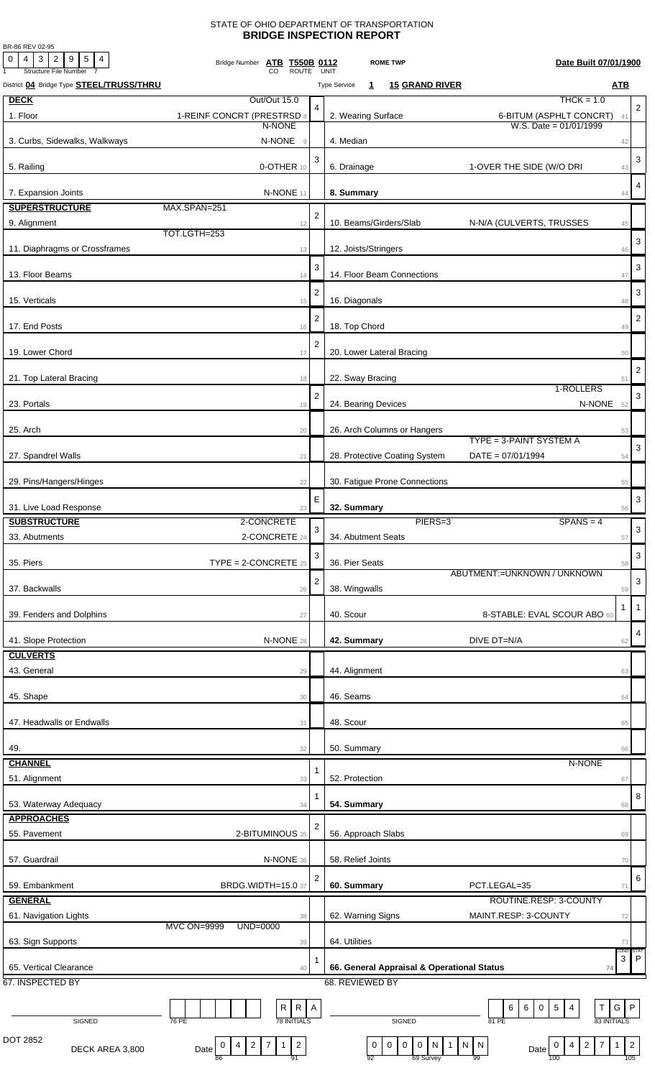## STATE OF OHIO DEPARTMENT OF TRANSPORTATION **BRIDGE INSPECTION REPORT**

BR-86 REV 02-95

| $\overline{0}$<br>$4$   3   2   9   5   4<br><b>Structure File Number</b> | Bridge Number ATB T550B 0112<br><b>ROUTE</b>                                                     |                | UNIT                                | <b>ROME TWP</b>                                                                          | Date Built 07/01/1900                                                    |                     |                         |
|---------------------------------------------------------------------------|--------------------------------------------------------------------------------------------------|----------------|-------------------------------------|------------------------------------------------------------------------------------------|--------------------------------------------------------------------------|---------------------|-------------------------|
| District 04 Bridge Type STEEL/TRUSS/THRU                                  |                                                                                                  |                | <b>Type Service</b><br>$\mathbf{1}$ | <b>15 GRAND RIVER</b>                                                                    |                                                                          | <b>ATB</b>          |                         |
| <b>DECK</b>                                                               | Out/Out 15.0                                                                                     | 4              |                                     |                                                                                          | $THCK = 1.0$                                                             |                     | $\overline{2}$          |
| 1. Floor                                                                  | 1-REINF CONCRT (PRESTRSD 8                                                                       |                | 2. Wearing Surface                  |                                                                                          | 6-BITUM (ASPHLT CONCRT)                                                  | 41                  |                         |
| 3. Curbs, Sidewalks, Walkways                                             | N-NONE<br>N-NONE<br>$\overline{9}$                                                               |                | 4. Median                           |                                                                                          | W.S. Date = $01/01/1999$                                                 |                     |                         |
|                                                                           |                                                                                                  |                |                                     |                                                                                          |                                                                          | 42                  |                         |
| 5. Railing                                                                | 0-OTHER 10                                                                                       | 3              | 6. Drainage                         |                                                                                          | 1-OVER THE SIDE (W/O DRI                                                 | 43                  | 3                       |
|                                                                           |                                                                                                  |                |                                     |                                                                                          |                                                                          |                     | $\overline{4}$          |
| 7. Expansion Joints                                                       | N-NONE 11                                                                                        |                | 8. Summary                          |                                                                                          |                                                                          | 44                  |                         |
| <b>SUPERSTRUCTURE</b>                                                     | MAX.SPAN=251                                                                                     | $\overline{2}$ |                                     |                                                                                          |                                                                          |                     |                         |
| 9. Alignment                                                              | 12<br>TOT.LGTH=253                                                                               |                | 10. Beams/Girders/Slab              |                                                                                          | N-N/A (CULVERTS, TRUSSES                                                 | 45                  |                         |
| 11. Diaphragms or Crossframes                                             | 13                                                                                               |                | 12. Joists/Stringers                |                                                                                          |                                                                          | 46                  | 3                       |
|                                                                           |                                                                                                  | 3              |                                     |                                                                                          |                                                                          |                     | 3                       |
| 13. Floor Beams                                                           | 14                                                                                               |                | 14. Floor Beam Connections          |                                                                                          |                                                                          | 47                  |                         |
| 15. Verticals                                                             | 15                                                                                               | $\overline{2}$ | 16. Diagonals                       |                                                                                          |                                                                          | 48                  | 3                       |
|                                                                           |                                                                                                  |                |                                     |                                                                                          |                                                                          |                     |                         |
| 17. End Posts                                                             | 16                                                                                               | $\overline{2}$ | 18. Top Chord                       |                                                                                          |                                                                          | 49                  | $\overline{2}$          |
|                                                                           |                                                                                                  | $\overline{2}$ |                                     |                                                                                          |                                                                          |                     |                         |
| 19. Lower Chord                                                           | 17                                                                                               |                | 20. Lower Lateral Bracing           |                                                                                          |                                                                          | 50                  |                         |
| 21. Top Lateral Bracing                                                   | 18                                                                                               |                | 22. Sway Bracing                    |                                                                                          |                                                                          | 51                  | $\overline{\mathbf{c}}$ |
|                                                                           |                                                                                                  | $\overline{2}$ |                                     |                                                                                          | 1-ROLLERS                                                                |                     | 3                       |
| 23. Portals                                                               | 19                                                                                               |                | 24. Bearing Devices                 |                                                                                          | N-NONE 52                                                                |                     |                         |
|                                                                           |                                                                                                  |                |                                     |                                                                                          |                                                                          |                     |                         |
| 25. Arch                                                                  | 20                                                                                               |                |                                     | 26. Arch Columns or Hangers                                                              | TYPE = 3-PAINT SYSTEM A                                                  | 53                  |                         |
| 27. Spandrel Walls                                                        | 21                                                                                               |                |                                     | 28. Protective Coating System                                                            | $DATA = 07/01/1994$                                                      | 54                  | 3                       |
|                                                                           |                                                                                                  |                |                                     |                                                                                          |                                                                          |                     |                         |
| 29. Pins/Hangers/Hinges                                                   | 22                                                                                               |                |                                     | 30. Fatigue Prone Connections                                                            |                                                                          | 55                  |                         |
|                                                                           |                                                                                                  | E              |                                     |                                                                                          |                                                                          |                     | 3                       |
| 31. Live Load Response<br><b>SUBSTRUCTURE</b>                             | 23<br>2-CONCRETE                                                                                 |                | 32. Summary                         | PIERS=3                                                                                  | $SPANS = 4$                                                              | 56                  |                         |
| 33. Abutments                                                             | 2-CONCRETE 24                                                                                    | 3              | 34. Abutment Seats                  |                                                                                          |                                                                          |                     | $\sqrt{3}$              |
|                                                                           |                                                                                                  |                |                                     |                                                                                          |                                                                          | 57                  |                         |
| 35. Piers                                                                 | $\text{TYPE} = 2\text{-CONCRETE } 25$                                                            | 3              | 36. Pier Seats                      |                                                                                          |                                                                          | 58                  | 3                       |
|                                                                           |                                                                                                  | $\overline{2}$ |                                     |                                                                                          | ABUTMENT:= UNKNOWN / UNKNOWN                                             |                     | $\mathbf{3}$            |
| 37. Backwalls                                                             | 26                                                                                               |                | 38. Wingwalls                       |                                                                                          |                                                                          | 59                  |                         |
| 39. Fenders and Dolphins                                                  | 27                                                                                               |                | 40. Scour                           |                                                                                          | 8-STABLE: EVAL SCOUR ABO 60                                              | -1                  | $\overline{1}$          |
|                                                                           |                                                                                                  |                |                                     |                                                                                          |                                                                          |                     |                         |
| 41. Slope Protection                                                      | N-NONE 28                                                                                        |                | 42. Summary                         |                                                                                          | DIVE DT=N/A                                                              | 62                  | 4                       |
| <b>CULVERTS</b>                                                           |                                                                                                  |                |                                     |                                                                                          |                                                                          |                     |                         |
| 43. General                                                               | 29                                                                                               |                | 44. Alignment                       |                                                                                          |                                                                          | 63                  |                         |
|                                                                           |                                                                                                  |                |                                     |                                                                                          |                                                                          |                     |                         |
| 45. Shape                                                                 | 30                                                                                               |                | 46. Seams                           |                                                                                          |                                                                          | 64                  |                         |
| 47. Headwalls or Endwalls                                                 | 31                                                                                               |                | 48. Scour                           |                                                                                          |                                                                          | 65                  |                         |
|                                                                           |                                                                                                  |                |                                     |                                                                                          |                                                                          |                     |                         |
| 49.                                                                       | 32                                                                                               |                | 50. Summary                         |                                                                                          |                                                                          | 66                  |                         |
| <b>CHANNEL</b>                                                            |                                                                                                  | 1              |                                     |                                                                                          | N-NONE                                                                   |                     |                         |
| 51. Alignment                                                             | 33                                                                                               |                | 52. Protection                      |                                                                                          |                                                                          | 67                  |                         |
| 53. Waterway Adequacy                                                     | 34                                                                                               | 1              | 54. Summary                         |                                                                                          |                                                                          | 68                  | 8                       |
| <b>APPROACHES</b>                                                         |                                                                                                  |                |                                     |                                                                                          |                                                                          |                     |                         |
| 55. Pavement                                                              | 2-BITUMINOUS 35                                                                                  | 2              | 56. Approach Slabs                  |                                                                                          |                                                                          | 69                  |                         |
|                                                                           |                                                                                                  |                |                                     |                                                                                          |                                                                          |                     |                         |
| 57. Guardrail                                                             | N-NONE 36                                                                                        |                | 58. Relief Joints                   |                                                                                          |                                                                          | 70                  |                         |
| 59. Embankment                                                            | BRDG.WIDTH=15.0 37                                                                               | 2              | 60. Summary                         |                                                                                          | PCT.LEGAL=35                                                             | 71                  | 6                       |
| <b>GENERAL</b>                                                            |                                                                                                  |                |                                     |                                                                                          | ROUTINE.RESP: 3-COUNTY                                                   |                     |                         |
| 61. Navigation Lights                                                     | 38                                                                                               |                | 62. Warning Signs                   |                                                                                          | MAINT.RESP: 3-COUNTY                                                     | 72                  |                         |
|                                                                           | <b>MVC ON=9999</b><br>$UND=0000$                                                                 |                |                                     |                                                                                          |                                                                          |                     |                         |
| 63. Sign Supports                                                         | 39                                                                                               |                | 64. Utilities                       |                                                                                          |                                                                          | 73                  |                         |
|                                                                           |                                                                                                  |                |                                     |                                                                                          |                                                                          | CONE:<br>3          | P                       |
| 65. Vertical Clearance                                                    | 40                                                                                               |                |                                     | 66. General Appraisal & Operational Status                                               | 74                                                                       |                     |                         |
| 67. INSPECTED BY                                                          |                                                                                                  |                | 68. REVIEWED BY                     |                                                                                          |                                                                          |                     |                         |
|                                                                           | $\mathsf{R}$<br>R A                                                                              |                |                                     |                                                                                          | $\vert 5 \vert$<br>$6\phantom{.}6$<br>6<br>$\mathbf 0$<br>4<br>T.        | P<br>G              |                         |
| SIGNED                                                                    | <b>78 INITIALS</b><br>76 PE                                                                      |                |                                     | SIGNED                                                                                   | 81 PE                                                                    | 83 INITIALS         |                         |
| DOT 2852                                                                  |                                                                                                  |                |                                     |                                                                                          |                                                                          |                     |                         |
| DECK AREA 3,800                                                           | $\overline{c}$<br>$\overline{2}$<br>$\overline{7}$<br>$\mathbf{1}$<br>0<br>4<br>Date<br>91<br>86 |                | $\bf{0}$<br>92                      | $\mathsf 0$<br>$\boldsymbol{0}$<br>${\sf N}$<br>$\mathbf 0$<br>$\mathbf{1}$<br>69 Survey | $\overline{7}$<br>$\overline{2}$<br>N   N<br>4<br>0<br>Date<br>99<br>100 | $\mathbf{1}$<br>105 | $\overline{2}$          |